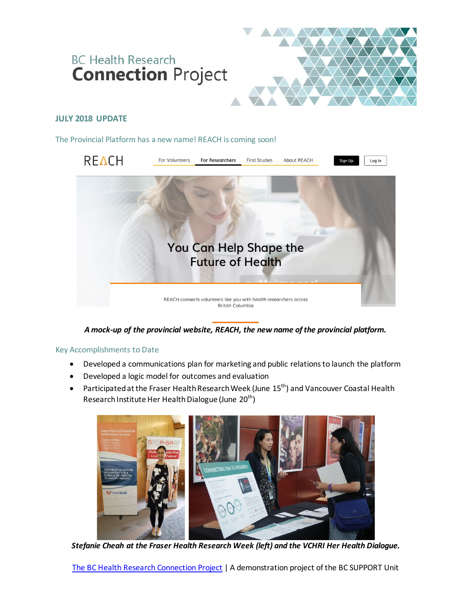# **BC Health Research Connection Project**



# **JULY 2018 UPDATE**

The Provincial Platform has a new name! REACH is coming soon!



## *A mock-up of the provincial website, REACH, the new name of the provincial platform.*

#### Key Accomplishments to Date

- Developed a communications plan for marketing and public relations to launch the platform
- Developed a logic model for outcomes and evaluation
- Participated at the Fraser Health Research Week (June  $15<sup>th</sup>$ ) and Vancouver Coastal Health Research Institute Her Health Dialogue (June 20<sup>th</sup>)



*Stefanie Cheah at the Fraser Health Research Week (left) and the VCHRI Her Health Dialogue.*

[The BC Health Research Connection](http://bcsupportunit.ca/healthresearchconnection/) Project | A demonstration project of the BC SUPPORT Unit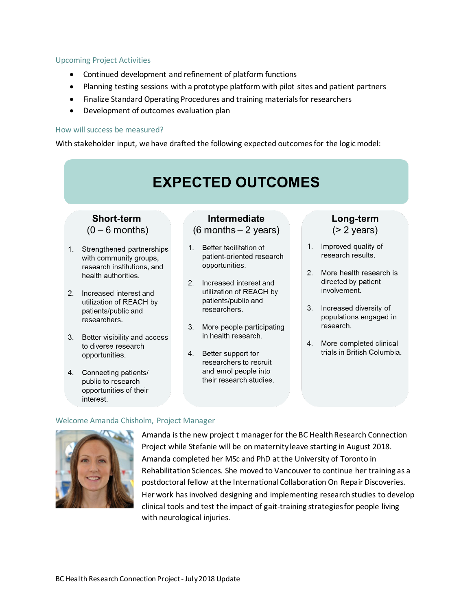#### Upcoming Project Activities

- Continued development and refinement of platform functions
- Planning testing sessions with a prototype platform with pilot sites and patient partners
- Finalize Standard Operating Procedures and training materials for researchers
- Development of outcomes evaluation plan

#### How will success be measured?

With stakeholder input, we have drafted the following expected outcomes for the logic model:



#### Welcome Amanda Chisholm, Project Manager



Amanda is the new project t manager for the BC Health Research Connection Project while Stefanie will be on maternity leave starting in August 2018. Amanda completed her MSc and PhD at the University of Toronto in Rehabilitation Sciences. She moved to Vancouver to continue her training as a postdoctoral fellow at the International Collaboration On Repair Discoveries. Her work has involved designing and implementing research studies to develop clinical tools and test the impact of gait-training strategies for people living with neurological injuries.